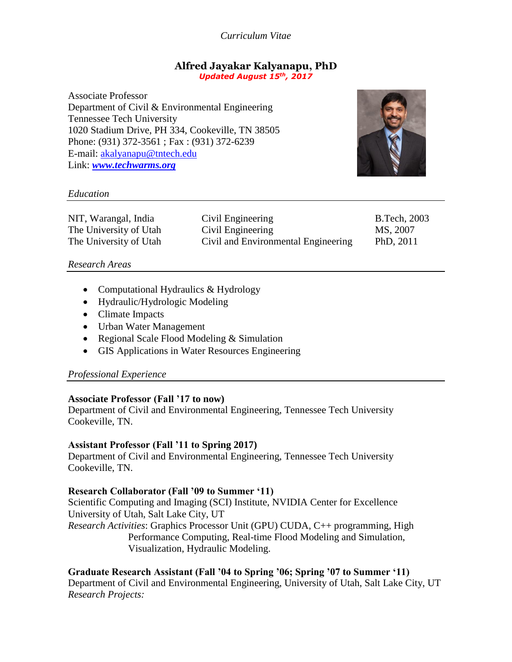*Curriculum Vitae*

#### **Alfred Jayakar Kalyanapu, PhD** *Updated August 15th, 2017*

Associate Professor Department of Civil & Environmental Engineering Tennessee Tech University 1020 Stadium Drive, PH 334, Cookeville, TN 38505 Phone: (931) 372-3561 ; Fax : (931) 372-6239 E-mail: [akalyanapu@tntech.edu](mailto:akalyanapu@tntech.edu) Link: *[www.techwarms.org](http://www.techwarms.org/)*



### *Education*

| NIT, Warangal, India   | Civil Engineering                   | <b>B.Tech, 2003</b> |
|------------------------|-------------------------------------|---------------------|
| The University of Utah | Civil Engineering                   | MS, 2007            |
| The University of Utah | Civil and Environmental Engineering | PhD, 2011           |

### *Research Areas*

- Computational Hydraulics & Hydrology
- Hydraulic/Hydrologic Modeling
- Climate Impacts
- Urban Water Management
- Regional Scale Flood Modeling & Simulation
- GIS Applications in Water Resources Engineering

### *Professional Experience*

### **Associate Professor (Fall '17 to now)**

Department of Civil and Environmental Engineering, Tennessee Tech University Cookeville, TN.

### **Assistant Professor (Fall '11 to Spring 2017)**

Department of Civil and Environmental Engineering, Tennessee Tech University Cookeville, TN.

### **Research Collaborator (Fall '09 to Summer '11)**

Scientific Computing and Imaging (SCI) Institute, NVIDIA Center for Excellence University of Utah, Salt Lake City, UT *Research Activities*: Graphics Processor Unit (GPU) CUDA, C++ programming, High Performance Computing, Real-time Flood Modeling and Simulation, Visualization, Hydraulic Modeling.

**Graduate Research Assistant (Fall '04 to Spring '06; Spring '07 to Summer '11)** Department of Civil and Environmental Engineering, University of Utah, Salt Lake City, UT *Research Projects:*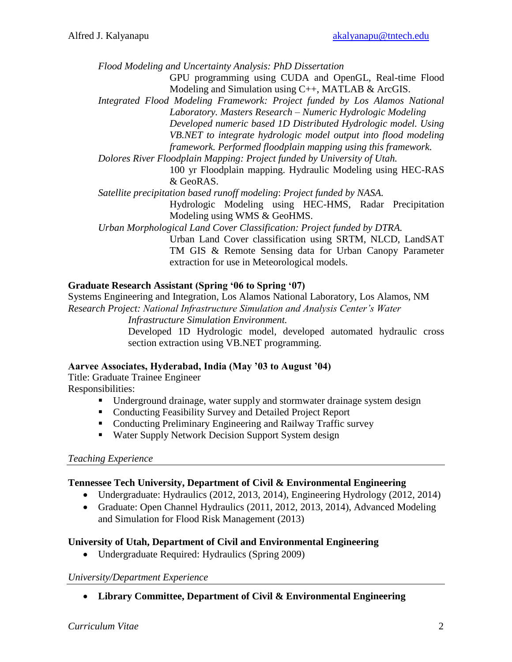*Flood Modeling and Uncertainty Analysis: PhD Dissertation*

GPU programming using CUDA and OpenGL, Real-time Flood Modeling and Simulation using C++, MATLAB & ArcGIS.

*Integrated Flood Modeling Framework: Project funded by Los Alamos National Laboratory. Masters Research – Numeric Hydrologic Modeling Developed numeric based 1D Distributed Hydrologic model. Using VB.NET to integrate hydrologic model output into flood modeling framework. Performed floodplain mapping using this framework.*

*Dolores River Floodplain Mapping: Project funded by University of Utah.* 

100 yr Floodplain mapping. Hydraulic Modeling using HEC-RAS & GeoRAS.

*Satellite precipitation based runoff modeling*: *Project funded by NASA.*

Hydrologic Modeling using HEC-HMS, Radar Precipitation Modeling using WMS & GeoHMS.

*Urban Morphological Land Cover Classification: Project funded by DTRA.*

Urban Land Cover classification using SRTM, NLCD, LandSAT TM GIS & Remote Sensing data for Urban Canopy Parameter extraction for use in Meteorological models.

# **Graduate Research Assistant (Spring '06 to Spring '07)**

Systems Engineering and Integration, Los Alamos National Laboratory, Los Alamos, NM *Research Project: National Infrastructure Simulation and Analysis Center's Water Infrastructure Simulation Environment.*

Developed 1D Hydrologic model, developed automated hydraulic cross section extraction using VB.NET programming.

### **Aarvee Associates, Hyderabad, India (May '03 to August '04)**

Title: Graduate Trainee Engineer Responsibilities:

- Underground drainage, water supply and stormwater drainage system design
- Conducting Feasibility Survey and Detailed Project Report
- Conducting Preliminary Engineering and Railway Traffic survey
- Water Supply Network Decision Support System design

#### *Teaching Experience*

### **Tennessee Tech University, Department of Civil & Environmental Engineering**

- Undergraduate: Hydraulics (2012, 2013, 2014), Engineering Hydrology (2012, 2014)
- Graduate: Open Channel Hydraulics (2011, 2012, 2013, 2014), Advanced Modeling and Simulation for Flood Risk Management (2013)

### **University of Utah, Department of Civil and Environmental Engineering**

• Undergraduate Required: Hydraulics (Spring 2009)

### *University/Department Experience*

**Library Committee, Department of Civil & Environmental Engineering**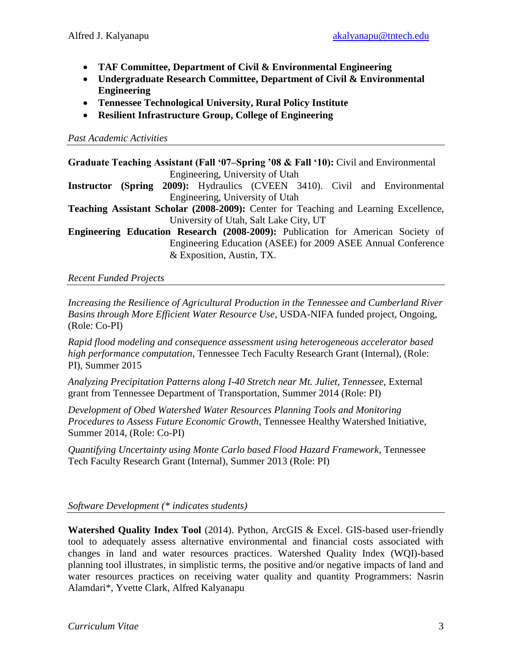- **TAF Committee, Department of Civil & Environmental Engineering**
- **Undergraduate Research Committee, Department of Civil & Environmental Engineering**
- **Tennessee Technological University, Rural Policy Institute**
- **Resilient Infrastructure Group, College of Engineering**

## *Past Academic Activities*

**Graduate Teaching Assistant (Fall '07–Spring '08 & Fall '10):** Civil and Environmental Engineering, University of Utah

**Instructor (Spring 2009):** Hydraulics (CVEEN 3410). Civil and Environmental Engineering, University of Utah

**Teaching Assistant Scholar (2008-2009):** Center for Teaching and Learning Excellence, University of Utah, Salt Lake City, UT

**Engineering Education Research (2008-2009):** Publication for American Society of Engineering Education (ASEE) for 2009 ASEE Annual Conference & Exposition, Austin, TX.

# *Recent Funded Projects*

*Increasing the Resilience of Agricultural Production in the Tennessee and Cumberland River Basins through More Efficient Water Resource Use*, USDA-NIFA funded project, Ongoing, (Role: Co-PI)

*Rapid flood modeling and consequence assessment using heterogeneous accelerator based high performance computation,* Tennessee Tech Faculty Research Grant (Internal), (Role: PI), Summer 2015

*Analyzing Precipitation Patterns along I-40 Stretch near Mt. Juliet, Tennessee*, External grant from Tennessee Department of Transportation, Summer 2014 (Role: PI)

*Development of Obed Watershed Water Resources Planning Tools and Monitoring Procedures to Assess Future Economic Growth*, Tennessee Healthy Watershed Initiative, Summer 2014, (Role: Co-PI)

*Quantifying Uncertainty using Monte Carlo based Flood Hazard Framework,* Tennessee Tech Faculty Research Grant (Internal), Summer 2013 (Role: PI)

# *Software Development (\* indicates students)*

**Watershed Quality Index Tool** (2014). Python, ArcGIS & Excel. GIS-based user-friendly tool to adequately assess alternative environmental and financial costs associated with changes in land and water resources practices. Watershed Quality Index (WQI)-based planning tool illustrates, in simplistic terms, the positive and/or negative impacts of land and water resources practices on receiving water quality and quantity Programmers: Nasrin Alamdari\*, Yvette Clark, Alfred Kalyanapu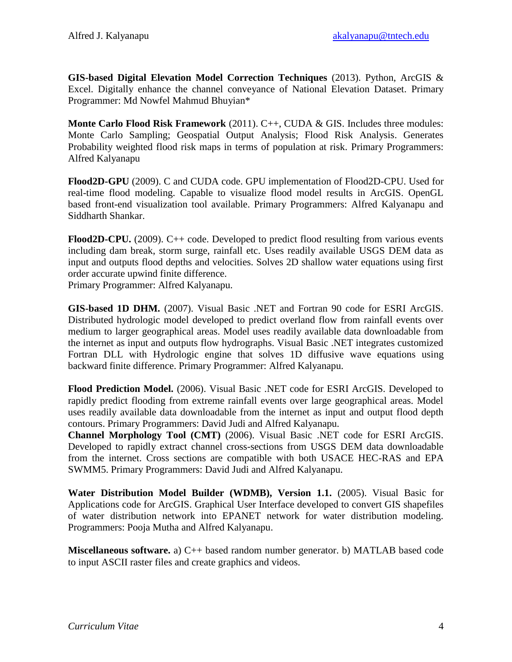**GIS-based Digital Elevation Model Correction Techniques** (2013). Python, ArcGIS & Excel. Digitally enhance the channel conveyance of National Elevation Dataset. Primary Programmer: Md Nowfel Mahmud Bhuyian\*

**Monte Carlo Flood Risk Framework** (2011). C++, CUDA & GIS. Includes three modules: Monte Carlo Sampling; Geospatial Output Analysis; Flood Risk Analysis. Generates Probability weighted flood risk maps in terms of population at risk. Primary Programmers: Alfred Kalyanapu

**Flood2D-GPU** (2009). C and CUDA code. GPU implementation of Flood2D-CPU. Used for real-time flood modeling. Capable to visualize flood model results in ArcGIS. OpenGL based front-end visualization tool available. Primary Programmers: Alfred Kalyanapu and Siddharth Shankar.

**Flood2D-CPU.** (2009). C++ code. Developed to predict flood resulting from various events including dam break, storm surge, rainfall etc. Uses readily available USGS DEM data as input and outputs flood depths and velocities. Solves 2D shallow water equations using first order accurate upwind finite difference.

Primary Programmer: Alfred Kalyanapu.

**GIS-based 1D DHM.** (2007). Visual Basic .NET and Fortran 90 code for ESRI ArcGIS. Distributed hydrologic model developed to predict overland flow from rainfall events over medium to larger geographical areas. Model uses readily available data downloadable from the internet as input and outputs flow hydrographs. Visual Basic .NET integrates customized Fortran DLL with Hydrologic engine that solves 1D diffusive wave equations using backward finite difference. Primary Programmer: Alfred Kalyanapu.

**Flood Prediction Model.** (2006). Visual Basic .NET code for ESRI ArcGIS. Developed to rapidly predict flooding from extreme rainfall events over large geographical areas. Model uses readily available data downloadable from the internet as input and output flood depth contours. Primary Programmers: David Judi and Alfred Kalyanapu.

**Channel Morphology Tool (CMT)** (2006). Visual Basic .NET code for ESRI ArcGIS. Developed to rapidly extract channel cross-sections from USGS DEM data downloadable from the internet. Cross sections are compatible with both USACE HEC-RAS and EPA SWMM5. Primary Programmers: David Judi and Alfred Kalyanapu.

**Water Distribution Model Builder (WDMB), Version 1.1.** (2005). Visual Basic for Applications code for ArcGIS. Graphical User Interface developed to convert GIS shapefiles of water distribution network into EPANET network for water distribution modeling. Programmers: Pooja Mutha and Alfred Kalyanapu.

**Miscellaneous software.** a) C++ based random number generator. b) MATLAB based code to input ASCII raster files and create graphics and videos.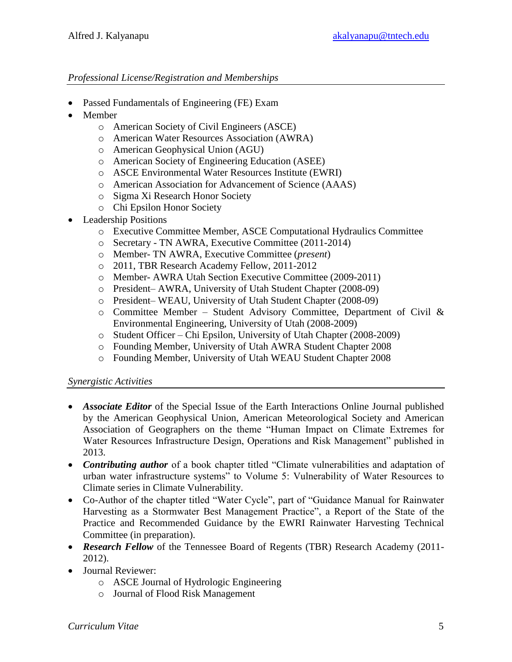## *Professional License/Registration and Memberships*

- Passed Fundamentals of Engineering (FE) Exam
- Member
	- o American Society of Civil Engineers (ASCE)
	- o American Water Resources Association (AWRA)
	- o American Geophysical Union (AGU)
	- o American Society of Engineering Education (ASEE)
	- o ASCE Environmental Water Resources Institute (EWRI)
	- o American Association for Advancement of Science (AAAS)
	- o Sigma Xi Research Honor Society
	- o Chi Epsilon Honor Society
- Leadership Positions
	- o Executive Committee Member, ASCE Computational Hydraulics Committee
	- o Secretary TN AWRA, Executive Committee (2011-2014)
	- o Member- TN AWRA, Executive Committee (*present*)
	- o 2011, TBR Research Academy Fellow, 2011-2012
	- o Member- AWRA Utah Section Executive Committee (2009-2011)
	- o President– AWRA, University of Utah Student Chapter (2008-09)
	- o President– WEAU, University of Utah Student Chapter (2008-09)
	- $\circ$  Committee Member Student Advisory Committee, Department of Civil & Environmental Engineering, University of Utah (2008-2009)
	- o Student Officer Chi Epsilon, University of Utah Chapter (2008-2009)
	- o Founding Member, University of Utah AWRA Student Chapter 2008
	- o Founding Member, University of Utah WEAU Student Chapter 2008

### *Synergistic Activities*

- *Associate Editor* of the Special Issue of the Earth Interactions Online Journal published by the American Geophysical Union, American Meteorological Society and American Association of Geographers on the theme "Human Impact on Climate Extremes for Water Resources Infrastructure Design, Operations and Risk Management" published in 2013.
- *Contributing author* of a book chapter titled "Climate vulnerabilities and adaptation of urban water infrastructure systems" to Volume 5: Vulnerability of Water Resources to Climate series in Climate Vulnerability.
- Co-Author of the chapter titled "Water Cycle", part of "Guidance Manual for Rainwater Harvesting as a Stormwater Best Management Practice", a Report of the State of the Practice and Recommended Guidance by the EWRI Rainwater Harvesting Technical Committee (in preparation).
- *Research Fellow* of the Tennessee Board of Regents (TBR) Research Academy (2011- 2012).
- Journal Reviewer:
	- o ASCE Journal of Hydrologic Engineering
	- o Journal of Flood Risk Management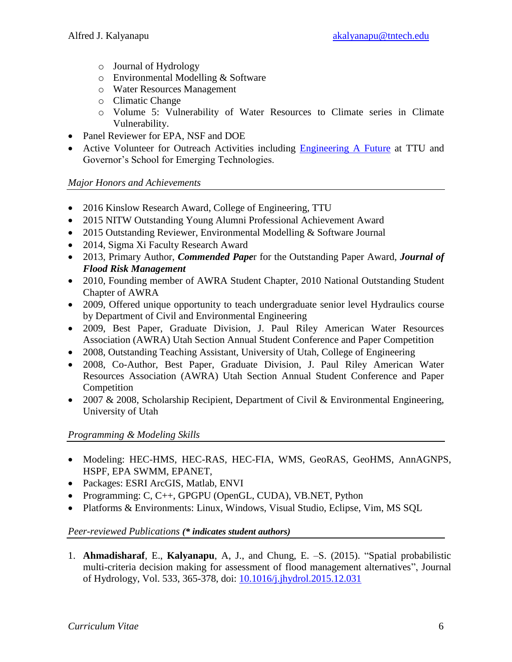- o Journal of Hydrology
- o Environmental Modelling & Software
- o Water Resources Management
- o Climatic Change
- o Volume 5: Vulnerability of Water Resources to Climate series in Climate Vulnerability.
- Panel Reviewer for EPA, NSF and DOE
- Active Volunteer for Outreach Activities including [Engineering A Future](https://www.tntech.edu/engineering/academic-programs/engineering-a-future) at TTU and Governor's School for Emerging Technologies.

#### *Major Honors and Achievements*

- 2016 Kinslow Research Award, College of Engineering, TTU
- 2015 NITW Outstanding Young Alumni Professional Achievement Award
- 2015 Outstanding Reviewer, Environmental Modelling & Software Journal
- 2014, Sigma Xi Faculty Research Award
- 2013, Primary Author, *Commended Pape*r for the Outstanding Paper Award, *Journal of Flood Risk Management*
- 2010, Founding member of AWRA Student Chapter, 2010 National Outstanding Student Chapter of AWRA
- 2009, Offered unique opportunity to teach undergraduate senior level Hydraulics course by Department of Civil and Environmental Engineering
- 2009, Best Paper, Graduate Division, J. Paul Riley American Water Resources Association (AWRA) Utah Section Annual Student Conference and Paper Competition
- 2008, Outstanding Teaching Assistant, University of Utah, College of Engineering
- 2008, Co-Author, Best Paper, Graduate Division, J. Paul Riley American Water Resources Association (AWRA) Utah Section Annual Student Conference and Paper Competition
- 2007 & 2008, Scholarship Recipient, Department of Civil & Environmental Engineering, University of Utah

### *Programming & Modeling Skills*

- Modeling: HEC-HMS, HEC-RAS, HEC-FIA, WMS, GeoRAS, GeoHMS, AnnAGNPS, HSPF, EPA SWMM, EPANET,
- Packages: ESRI ArcGIS, Matlab, ENVI
- Programming: C, C++, GPGPU (OpenGL, CUDA), VB.NET, Python
- Platforms & Environments: Linux, Windows, Visual Studio, Eclipse, Vim, MS SQL

### *Peer-reviewed Publications (\* indicates student authors)*

1. **Ahmadisharaf**, E., **Kalyanapu**, A, J., and Chung, E. –S. (2015). "Spatial probabilistic multi-criteria decision making for assessment of flood management alternatives", Journal of Hydrology, Vol. 533, 365-378, doi: [10.1016/j.jhydrol.2015.12.031](http://dx.doi.org/10.1016/j.jhydrol.2015.12.031)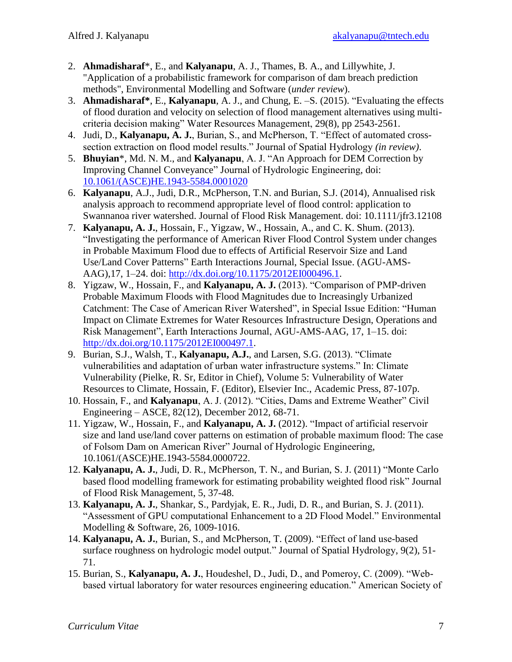- 2. **Ahmadisharaf**\*, E., and **Kalyanapu**, A. J., Thames, B. A., and Lillywhite, J. "Application of a probabilistic framework for comparison of dam breach prediction methods", Environmental Modelling and Software (*under review*).
- 3. **Ahmadisharaf\***, E., **Kalyanapu**, A. J., and Chung, E. –S. (2015). "Evaluating the effects of flood duration and velocity on selection of flood management alternatives using multicriteria decision making" Water Resources Management, 29(8), pp 2543-2561.
- 4. Judi, D., **Kalyanapu, A. J.**, Burian, S., and McPherson, T. "Effect of automated crosssection extraction on flood model results." Journal of Spatial Hydrology *(in review)*.
- 5. **Bhuyian**\*, Md. N. M., and **Kalyanapu**, A. J. "An Approach for DEM Correction by Improving Channel Conveyance" Journal of Hydrologic Engineering, doi: [10.1061/\(ASCE\)HE.1943-5584.0001020](http://ascelibrary.org/doi/abs/10.1061/%28ASCE%29HE.1943-5584.0001020)
- 6. **Kalyanapu**, A.J., Judi, D.R., McPherson, T.N. and Burian, S.J. (2014), Annualised risk analysis approach to recommend appropriate level of flood control: application to Swannanoa river watershed. Journal of Flood Risk Management. doi: 10.1111/jfr3.12108
- 7. **Kalyanapu, A. J.**, Hossain, F., Yigzaw, W., Hossain, A., and C. K. Shum. (2013). "Investigating the performance of American River Flood Control System under changes in Probable Maximum Flood due to effects of Artificial Reservoir Size and Land Use/Land Cover Patterns" Earth Interactions Journal, Special Issue. (AGU-AMS-AAG),17, 1–24. doi: [http://dx.doi.org/10.1175/2012EI000496.1.](http://dx.doi.org/10.1175/2012EI000496.1)
- 8. Yigzaw, W., Hossain, F., and **Kalyanapu, A. J.** (2013). "Comparison of PMP-driven Probable Maximum Floods with Flood Magnitudes due to Increasingly Urbanized Catchment: The Case of American River Watershed", in Special Issue Edition: "Human Impact on Climate Extremes for Water Resources Infrastructure Design, Operations and Risk Management", Earth Interactions Journal, AGU-AMS-AAG, 17, 1–15. doi: [http://dx.doi.org/10.1175/2012EI000497.1.](http://dx.doi.org/10.1175/2012EI000497.1)
- 9. Burian, S.J., Walsh, T., **Kalyanapu, A.J.**, and Larsen, S.G. (2013). "Climate vulnerabilities and adaptation of urban water infrastructure systems." In: Climate Vulnerability (Pielke, R. Sr, Editor in Chief), Volume 5: Vulnerability of Water Resources to Climate, Hossain, F. (Editor), Elsevier Inc., Academic Press, 87-107p.
- 10. Hossain, F., and **Kalyanapu**, A. J. (2012). "Cities, Dams and Extreme Weather" Civil Engineering – ASCE, 82(12), December 2012, 68-71.
- 11. Yigzaw, W., Hossain, F., and **Kalyanapu, A. J.** (2012). "Impact of artificial reservoir size and land use/land cover patterns on estimation of probable maximum flood: The case of Folsom Dam on American River" Journal of Hydrologic Engineering, 10.1061/(ASCE)HE.1943-5584.0000722.
- 12. **Kalyanapu, A. J.**, Judi, D. R., McPherson, T. N., and Burian, S. J. (2011) "Monte Carlo based flood modelling framework for estimating probability weighted flood risk" Journal of Flood Risk Management, 5, 37-48.
- 13. **Kalyanapu, A. J.**, Shankar, S., Pardyjak, E. R., Judi, D. R., and Burian, S. J. (2011). "Assessment of GPU computational Enhancement to a 2D Flood Model." Environmental Modelling & Software, 26, 1009-1016.
- 14. **Kalyanapu, A. J.**, Burian, S., and McPherson, T. (2009). "Effect of land use-based surface roughness on hydrologic model output." Journal of Spatial Hydrology, 9(2), 51- 71.
- 15. Burian, S., **Kalyanapu, A. J.**, Houdeshel, D., Judi, D., and Pomeroy, C. (2009). "Webbased virtual laboratory for water resources engineering education." American Society of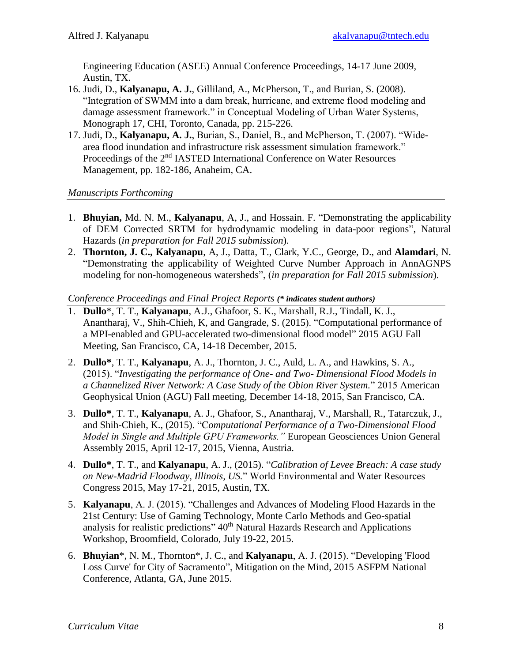Engineering Education (ASEE) Annual Conference Proceedings, 14-17 June 2009, Austin, TX.

- 16. Judi, D., **Kalyanapu, A. J.**, Gilliland, A., McPherson, T., and Burian, S. (2008). "Integration of SWMM into a dam break, hurricane, and extreme flood modeling and damage assessment framework." in Conceptual Modeling of Urban Water Systems, Monograph 17, CHI, Toronto, Canada, pp. 215-226.
- 17. Judi, D., **Kalyanapu, A. J.**, Burian, S., Daniel, B., and McPherson, T. (2007). "Widearea flood inundation and infrastructure risk assessment simulation framework." Proceedings of the 2<sup>nd</sup> IASTED International Conference on Water Resources Management, pp. 182-186, Anaheim, CA.

*Manuscripts Forthcoming*

- 1. **Bhuyian,** Md. N. M., **Kalyanapu**, A, J., and Hossain. F. "Demonstrating the applicability of DEM Corrected SRTM for hydrodynamic modeling in data-poor regions", Natural Hazards (*in preparation for Fall 2015 submission*).
- 2. **Thornton, J. C., Kalyanapu**, A, J., Datta, T., Clark, Y.C., George, D., and **Alamdari**, N. "Demonstrating the applicability of Weighted Curve Number Approach in AnnAGNPS modeling for non-homogeneous watersheds", (*in preparation for Fall 2015 submission*).

*Conference Proceedings and Final Project Reports (\* indicates student authors)*

- 1. **Dullo**\*, T. T., **Kalyanapu**, A.J., Ghafoor, S. K., Marshall, R.J., Tindall, K. J., Anantharaj, V., Shih-Chieh, K, and Gangrade, S. (2015). "Computational performance of a MPI-enabled and GPU-accelerated two-dimensional flood model" 2015 AGU Fall Meeting, San Francisco, CA, 14-18 December, 2015.
- 2. **Dullo\***, T. T., **Kalyanapu**, A. J., Thornton, J. C., Auld, L. A., and Hawkins, S. A., (2015). "*Investigating the performance of One- and Two- Dimensional Flood Models in a Channelized River Network: A Case Study of the Obion River System.*" 2015 American Geophysical Union (AGU) Fall meeting, December 14-18, 2015, San Francisco, CA.
- 3. **Dullo\***, T. T., **Kalyanapu**, A. J., Ghafoor, S., Anantharaj, V., Marshall, R., Tatarczuk, J., and Shih-Chieh, K., (2015). "C*omputational Performance of a Two-Dimensional Flood Model in Single and Multiple GPU Frameworks."* European Geosciences Union General Assembly 2015, April 12-17, 2015, Vienna, Austria.
- 4. **Dullo\***, T. T., and **Kalyanapu**, A. J., (2015). "*Calibration of Levee Breach: A case study on New-Madrid Floodway, Illinois, US.*" World Environmental and Water Resources Congress 2015, May 17-21, 2015, Austin, TX.
- 5. **Kalyanapu**, A. J. (2015). "Challenges and Advances of Modeling Flood Hazards in the 21st Century: Use of Gaming Technology, Monte Carlo Methods and Geo-spatial analysis for realistic predictions"  $40<sup>th</sup>$  Natural Hazards Research and Applications Workshop, Broomfield, Colorado, July 19-22, 2015.
- 6. **Bhuyian**\*, N. M., Thornton\*, J. C., and **Kalyanapu**, A. J. (2015). "Developing 'Flood Loss Curve' for City of Sacramento", Mitigation on the Mind, 2015 ASFPM National Conference, Atlanta, GA, June 2015.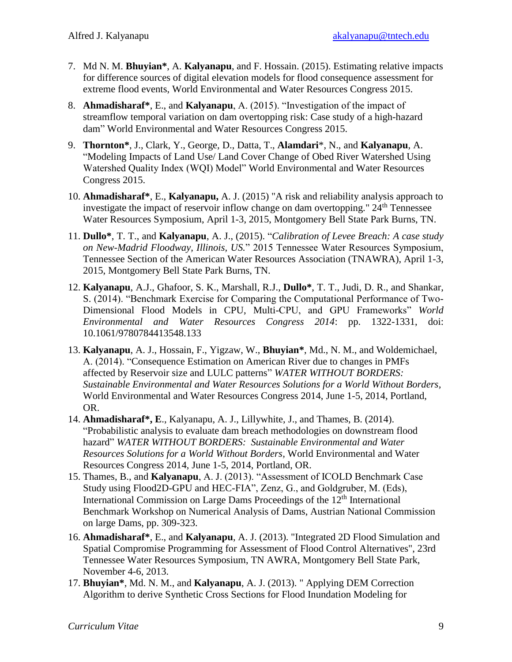- 7. Md N. M. **Bhuyian\***, A. **Kalyanapu**, and F. Hossain. (2015). Estimating relative impacts for difference sources of digital elevation models for flood consequence assessment for extreme flood events, World Environmental and Water Resources Congress 2015.
- 8. **Ahmadisharaf\***, E., and **Kalyanapu**, A. (2015). "Investigation of the impact of streamflow temporal variation on dam overtopping risk: Case study of a high-hazard dam" World Environmental and Water Resources Congress 2015.
- 9. **Thornton\***, J., Clark, Y., George, D., Datta, T., **Alamdari**\*, N., and **Kalyanapu**, A. "Modeling Impacts of Land Use/ Land Cover Change of Obed River Watershed Using Watershed Quality Index (WQI) Model" World Environmental and Water Resources Congress 2015.
- 10. **Ahmadisharaf\***, E., **Kalyanapu,** A. J. (2015) "A risk and reliability analysis approach to investigate the impact of reservoir inflow change on dam overtopping." 24<sup>th</sup> Tennessee Water Resources Symposium, April 1-3, 2015, Montgomery Bell State Park Burns, TN.
- 11. **Dullo\***, T. T., and **Kalyanapu**, A. J., (2015). "*Calibration of Levee Breach: A case study on New-Madrid Floodway, Illinois, US.*" 2015 Tennessee Water Resources Symposium, Tennessee Section of the American Water Resources Association (TNAWRA), April 1-3, 2015, Montgomery Bell State Park Burns, TN.
- 12. **Kalyanapu**, A.J., Ghafoor, S. K., Marshall, R.J., **Dullo\***, T. T., Judi, D. R., and Shankar, S. (2014). "Benchmark Exercise for Comparing the Computational Performance of Two-Dimensional Flood Models in CPU, Multi-CPU, and GPU Frameworks" *World Environmental and Water Resources Congress 2014*: pp. 1322-1331, doi: 10.1061/9780784413548.133
- 13. **Kalyanapu**, A. J., Hossain, F., Yigzaw, W., **Bhuyian\***, Md., N. M., and Woldemichael, A. (2014). "Consequence Estimation on American River due to changes in PMFs affected by Reservoir size and LULC patterns" *WATER WITHOUT BORDERS: Sustainable Environmental and Water Resources Solutions for a World Without Borders,* World Environmental and Water Resources Congress 2014, June 1-5, 2014, Portland, OR.
- 14. **Ahmadisharaf\*, E**., Kalyanapu, A. J., Lillywhite, J., and Thames, B. (2014). "Probabilistic analysis to evaluate dam breach methodologies on downstream flood hazard" *WATER WITHOUT BORDERS: Sustainable Environmental and Water Resources Solutions for a World Without Borders,* World Environmental and Water Resources Congress 2014, June 1-5, 2014, Portland, OR.
- 15. Thames, B., and **Kalyanapu**, A. J. (2013). "Assessment of ICOLD Benchmark Case Study using Flood2D-GPU and HEC-FIA", Zenz, G., and Goldgruber, M. (Eds), International Commission on Large Dams Proceedings of the  $12<sup>th</sup>$  International Benchmark Workshop on Numerical Analysis of Dams, Austrian National Commission on large Dams, pp. 309-323.
- 16. **Ahmadisharaf\***, E., and **Kalyanapu**, A. J. (2013). "Integrated 2D Flood Simulation and Spatial Compromise Programming for Assessment of Flood Control Alternatives", 23rd Tennessee Water Resources Symposium, TN AWRA, Montgomery Bell State Park, November 4-6, 2013.
- 17. **Bhuyian\***, Md. N. M., and **Kalyanapu**, A. J. (2013). " Applying DEM Correction Algorithm to derive Synthetic Cross Sections for Flood Inundation Modeling for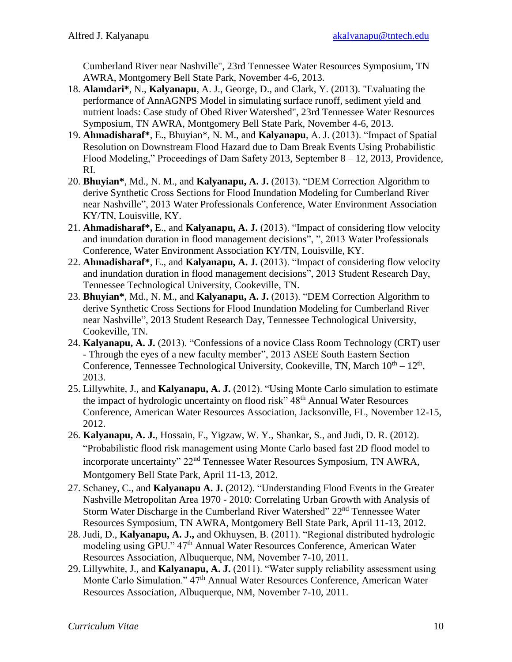Cumberland River near Nashville", 23rd Tennessee Water Resources Symposium, TN AWRA, Montgomery Bell State Park, November 4-6, 2013.

- 18. **Alamdari\***, N., **Kalyanapu**, A. J., George, D., and Clark, Y. (2013). "Evaluating the performance of AnnAGNPS Model in simulating surface runoff, sediment yield and nutrient loads: Case study of Obed River Watershed", 23rd Tennessee Water Resources Symposium, TN AWRA, Montgomery Bell State Park, November 4-6, 2013.
- 19. **Ahmadisharaf\***, E., Bhuyian\*, N. M., and **Kalyanapu**, A. J. (2013). "Impact of Spatial Resolution on Downstream Flood Hazard due to Dam Break Events Using Probabilistic Flood Modeling," Proceedings of Dam Safety 2013, September 8 – 12, 2013, Providence, RI.
- 20. **Bhuyian\***, Md., N. M., and **Kalyanapu, A. J.** (2013). "DEM Correction Algorithm to derive Synthetic Cross Sections for Flood Inundation Modeling for Cumberland River near Nashville", 2013 Water Professionals Conference, Water Environment Association KY/TN, Louisville, KY.
- 21. **Ahmadisharaf\*,** E., and **Kalyanapu, A. J.** (2013). "Impact of considering flow velocity and inundation duration in flood management decisions", ", 2013 Water Professionals Conference, Water Environment Association KY/TN, Louisville, KY.
- 22. **Ahmadisharaf\***, E., and **Kalyanapu, A. J.** (2013). "Impact of considering flow velocity and inundation duration in flood management decisions", 2013 Student Research Day, Tennessee Technological University, Cookeville, TN.
- 23. **Bhuyian\***, Md., N. M., and **Kalyanapu, A. J.** (2013). "DEM Correction Algorithm to derive Synthetic Cross Sections for Flood Inundation Modeling for Cumberland River near Nashville", 2013 Student Research Day, Tennessee Technological University, Cookeville, TN.
- 24. **Kalyanapu, A. J.** (2013). "Confessions of a novice Class Room Technology (CRT) user - Through the eyes of a new faculty member", 2013 ASEE South Eastern Section Conference, Tennessee Technological University, Cookeville, TN, March  $10^{th} - 12^{th}$ , 2013.
- 25. Lillywhite, J., and **Kalyanapu, A. J.** (2012). "Using Monte Carlo simulation to estimate the impact of hydrologic uncertainty on flood risk" 48<sup>th</sup> Annual Water Resources Conference, American Water Resources Association, Jacksonville, FL, November 12-15, 2012.
- 26. **Kalyanapu, A. J.**, Hossain, F., Yigzaw, W. Y., Shankar, S., and Judi, D. R. (2012). "Probabilistic flood risk management using Monte Carlo based fast 2D flood model to incorporate uncertainty" 22<sup>nd</sup> Tennessee Water Resources Symposium, TN AWRA, Montgomery Bell State Park, April 11-13, 2012.
- 27. Schaney, C., and **Kalyanapu A. J.** (2012). "Understanding Flood Events in the Greater Nashville Metropolitan Area 1970 - 2010: Correlating Urban Growth with Analysis of Storm Water Discharge in the Cumberland River Watershed" 22<sup>nd</sup> Tennessee Water Resources Symposium, TN AWRA, Montgomery Bell State Park, April 11-13, 2012.
- 28. Judi, D., **Kalyanapu, A. J.,** and Okhuysen, B. (2011). "Regional distributed hydrologic modeling using GPU." 47th Annual Water Resources Conference, American Water Resources Association, Albuquerque, NM, November 7-10, 2011.
- 29. Lillywhite, J., and **Kalyanapu, A. J.** (2011). "Water supply reliability assessment using Monte Carlo Simulation." 47th Annual Water Resources Conference, American Water Resources Association, Albuquerque, NM, November 7-10, 2011.